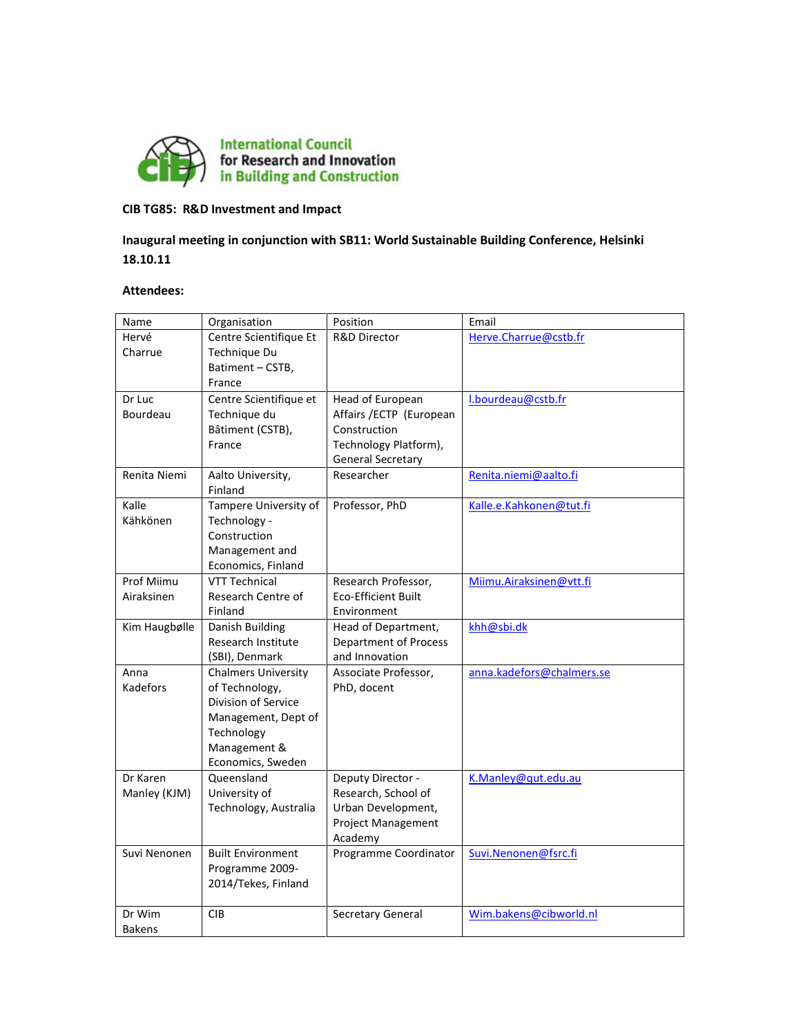

## CIB TG85: R&D Investment and Impact

# Inaugural meeting in conjunction with SB11: World Sustainable Building Conference, Helsinki 18.10.11

#### Attendees:

| Name          | Organisation               | Position                     | Email                     |
|---------------|----------------------------|------------------------------|---------------------------|
| Hervé         | Centre Scientifique Et     | <b>R&amp;D Director</b>      | Herve.Charrue@cstb.fr     |
| Charrue       | Technique Du               |                              |                           |
|               | Batiment - CSTB,           |                              |                           |
|               | France                     |                              |                           |
| Dr Luc        | Centre Scientifique et     | Head of European             | l.bourdeau@cstb.fr        |
| Bourdeau      | Technique du               | Affairs / ECTP (European     |                           |
|               | Bâtiment (CSTB),           | Construction                 |                           |
|               | France                     | Technology Platform),        |                           |
|               |                            | General Secretary            |                           |
| Renita Niemi  | Aalto University,          | Researcher                   | Renita.niemi@aalto.fi     |
|               | Finland                    |                              |                           |
| Kalle         | Tampere University of      | Professor, PhD               | Kalle.e.Kahkonen@tut.fi   |
| Kähkönen      | Technology -               |                              |                           |
|               | Construction               |                              |                           |
|               | Management and             |                              |                           |
|               | Economics, Finland         |                              |                           |
| Prof Miimu    | <b>VTT Technical</b>       | Research Professor,          | Miimu.Airaksinen@vtt.fi   |
| Airaksinen    | Research Centre of         | <b>Eco-Efficient Built</b>   |                           |
|               | Finland                    | Environment                  |                           |
| Kim Haugbølle | Danish Building            | Head of Department,          | khh@sbi.dk                |
|               | Research Institute         | <b>Department of Process</b> |                           |
|               | (SBI), Denmark             | and Innovation               |                           |
| Anna          | <b>Chalmers University</b> | Associate Professor,         | anna.kadefors@chalmers.se |
| Kadefors      | of Technology,             | PhD, docent                  |                           |
|               | Division of Service        |                              |                           |
|               | Management, Dept of        |                              |                           |
|               | Technology                 |                              |                           |
|               | Management &               |                              |                           |
|               | Economics, Sweden          |                              |                           |
| Dr Karen      | Queensland                 | Deputy Director -            | K.Manley@qut.edu.au       |
| Manley (KJM)  | University of              | Research, School of          |                           |
|               | Technology, Australia      | Urban Development,           |                           |
|               |                            | <b>Project Management</b>    |                           |
|               |                            | Academy                      |                           |
| Suvi Nenonen  | <b>Built Environment</b>   | Programme Coordinator        | Suvi.Nenonen@fsrc.fi      |
|               | Programme 2009-            |                              |                           |
|               | 2014/Tekes, Finland        |                              |                           |
|               |                            |                              |                           |
| Dr Wim        | <b>CIB</b>                 | Secretary General            | Wim.bakens@cibworld.nl    |
| <b>Bakens</b> |                            |                              |                           |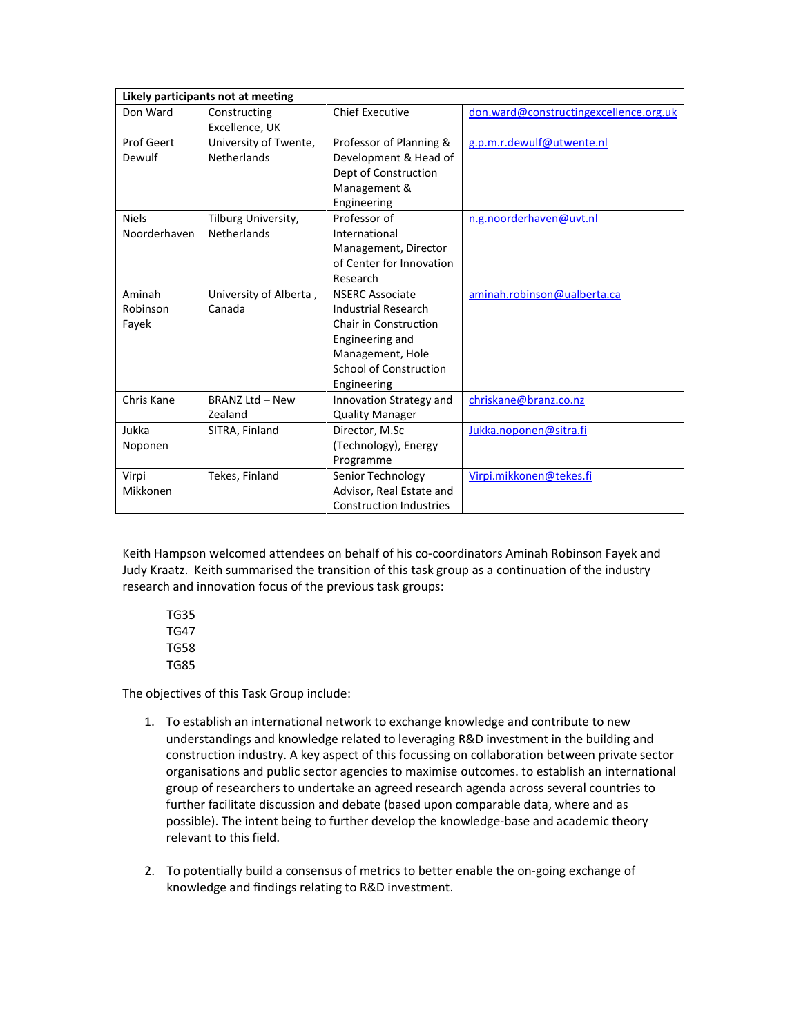| Likely participants not at meeting |                        |                                |                                        |  |  |
|------------------------------------|------------------------|--------------------------------|----------------------------------------|--|--|
| Don Ward                           | Constructing           | <b>Chief Executive</b>         | don.ward@constructingexcellence.org.uk |  |  |
|                                    | Excellence, UK         |                                |                                        |  |  |
| Prof Geert                         | University of Twente,  | Professor of Planning &        | g.p.m.r.dewulf@utwente.nl              |  |  |
| Dewulf                             | <b>Netherlands</b>     | Development & Head of          |                                        |  |  |
|                                    |                        | Dept of Construction           |                                        |  |  |
|                                    |                        | Management &                   |                                        |  |  |
|                                    |                        | Engineering                    |                                        |  |  |
| <b>Niels</b>                       | Tilburg University,    | Professor of                   | n.g.noorderhaven@uvt.nl                |  |  |
| Noorderhaven                       | <b>Netherlands</b>     | International                  |                                        |  |  |
|                                    |                        | Management, Director           |                                        |  |  |
|                                    |                        | of Center for Innovation       |                                        |  |  |
|                                    |                        | Research                       |                                        |  |  |
| Aminah                             | University of Alberta, | <b>NSERC Associate</b>         | aminah.robinson@ualberta.ca            |  |  |
| Robinson                           | Canada                 | <b>Industrial Research</b>     |                                        |  |  |
| Fayek                              |                        | Chair in Construction          |                                        |  |  |
|                                    |                        | Engineering and                |                                        |  |  |
|                                    |                        | Management, Hole               |                                        |  |  |
|                                    |                        | <b>School of Construction</b>  |                                        |  |  |
|                                    |                        | Engineering                    |                                        |  |  |
| Chris Kane                         | <b>BRANZ Ltd - New</b> | Innovation Strategy and        | chriskane@branz.co.nz                  |  |  |
|                                    | Zealand                | <b>Quality Manager</b>         |                                        |  |  |
| Jukka                              | SITRA, Finland         | Director, M.Sc                 | Jukka.noponen@sitra.fi                 |  |  |
| Noponen                            |                        | (Technology), Energy           |                                        |  |  |
|                                    |                        | Programme                      |                                        |  |  |
| Virpi                              | Tekes, Finland         | Senior Technology              | Virpi.mikkonen@tekes.fi                |  |  |
| Mikkonen                           |                        | Advisor, Real Estate and       |                                        |  |  |
|                                    |                        | <b>Construction Industries</b> |                                        |  |  |

Keith Hampson welcomed attendees on behalf of his co-coordinators Aminah Robinson Fayek and Judy Kraatz. Keith summarised the transition of this task group as a continuation of the industry research and innovation focus of the previous task groups:

 TG35 TG47 TG58 TG85

The objectives of this Task Group include:

- 1. To establish an international network to exchange knowledge and contribute to new understandings and knowledge related to leveraging R&D investment in the building and construction industry. A key aspect of this focussing on collaboration between private sector organisations and public sector agencies to maximise outcomes. to establish an international group of researchers to undertake an agreed research agenda across several countries to further facilitate discussion and debate (based upon comparable data, where and as possible). The intent being to further develop the knowledge-base and academic theory relevant to this field.
- 2. To potentially build a consensus of metrics to better enable the on-going exchange of knowledge and findings relating to R&D investment.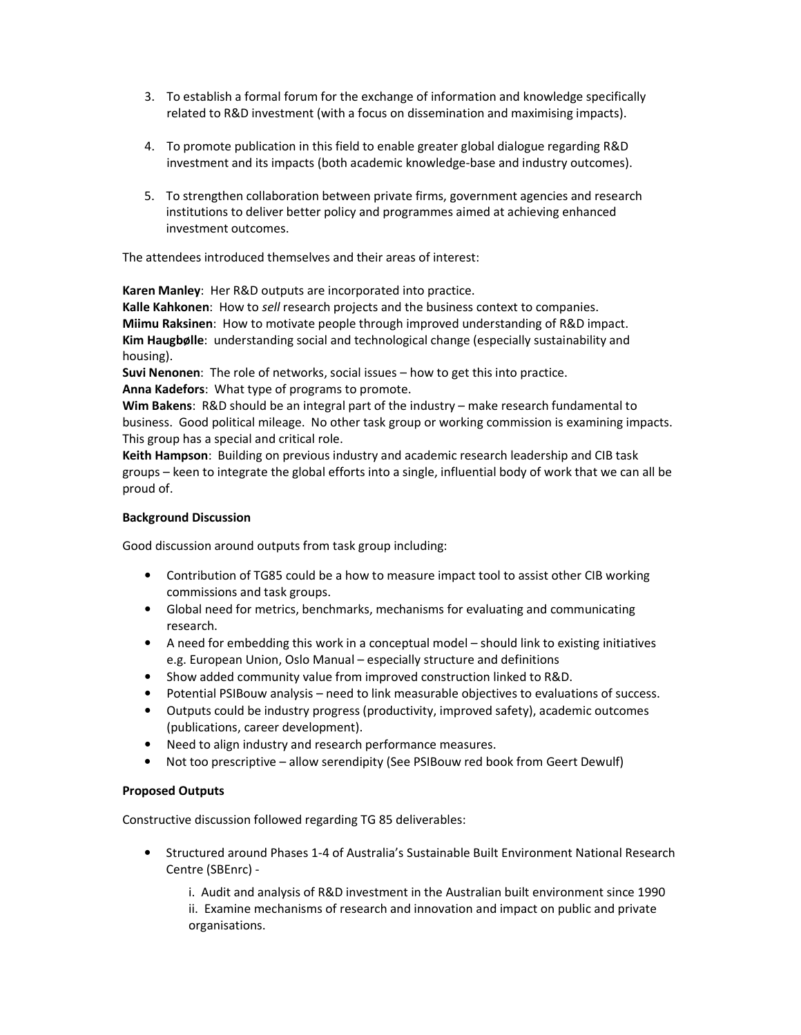- 3. To establish a formal forum for the exchange of information and knowledge specifically related to R&D investment (with a focus on dissemination and maximising impacts).
- 4. To promote publication in this field to enable greater global dialogue regarding R&D investment and its impacts (both academic knowledge-base and industry outcomes).
- 5. To strengthen collaboration between private firms, government agencies and research institutions to deliver better policy and programmes aimed at achieving enhanced investment outcomes.

The attendees introduced themselves and their areas of interest:

Karen Manley: Her R&D outputs are incorporated into practice.

Kalle Kahkonen: How to sell research projects and the business context to companies. Miimu Raksinen: How to motivate people through improved understanding of R&D impact. Kim Haugbølle: understanding social and technological change (especially sustainability and housing).

Suvi Nenonen: The role of networks, social issues – how to get this into practice. Anna Kadefors: What type of programs to promote.

Wim Bakens: R&D should be an integral part of the industry – make research fundamental to business. Good political mileage. No other task group or working commission is examining impacts. This group has a special and critical role.

Keith Hampson: Building on previous industry and academic research leadership and CIB task groups – keen to integrate the global efforts into a single, influential body of work that we can all be proud of.

#### Background Discussion

Good discussion around outputs from task group including:

- Contribution of TG85 could be a how to measure impact tool to assist other CIB working commissions and task groups.
- Global need for metrics, benchmarks, mechanisms for evaluating and communicating research.
- A need for embedding this work in a conceptual model should link to existing initiatives e.g. European Union, Oslo Manual – especially structure and definitions
- Show added community value from improved construction linked to R&D.
- Potential PSIBouw analysis need to link measurable objectives to evaluations of success.
- Outputs could be industry progress (productivity, improved safety), academic outcomes (publications, career development).
- Need to align industry and research performance measures.
- Not too prescriptive allow serendipity (See PSIBouw red book from Geert Dewulf)

#### Proposed Outputs

Constructive discussion followed regarding TG 85 deliverables:

• Structured around Phases 1-4 of Australia's Sustainable Built Environment National Research Centre (SBEnrc) -

i. Audit and analysis of R&D investment in the Australian built environment since 1990 ii. Examine mechanisms of research and innovation and impact on public and private organisations.